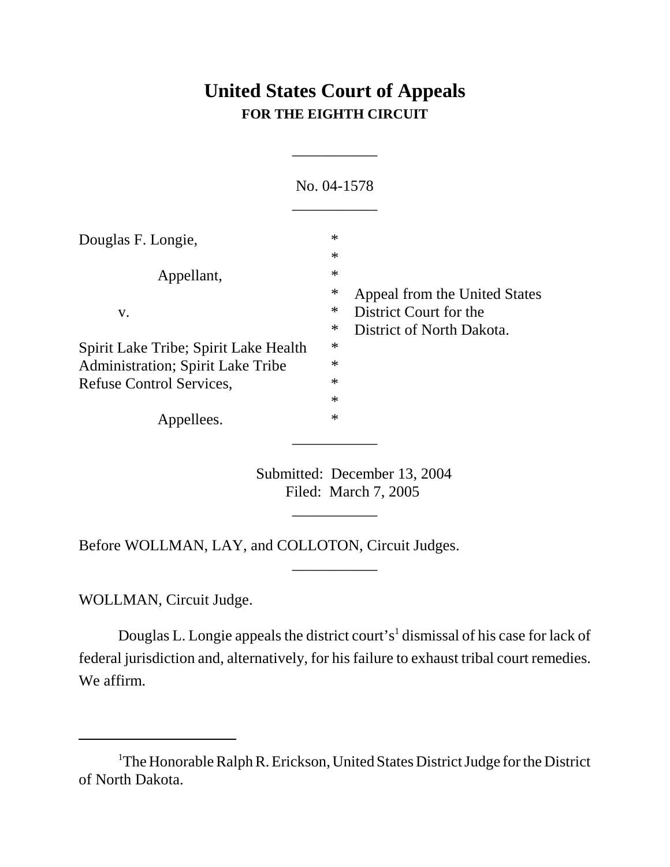## **United States Court of Appeals FOR THE EIGHTH CIRCUIT**

\_\_\_\_\_\_\_\_\_\_\_

|                                                                                    | No. 04-1578                |                                                     |
|------------------------------------------------------------------------------------|----------------------------|-----------------------------------------------------|
| Douglas F. Longie,                                                                 | $\ast$<br>$\ast$           |                                                     |
| Appellant,                                                                         | $\ast$<br>∗                | Appeal from the United States                       |
| V.                                                                                 | ∗<br>∗                     | District Court for the<br>District of North Dakota. |
| Spirit Lake Tribe; Spirit Lake Health<br><b>Administration</b> ; Spirit Lake Tribe | $\ast$<br>$\ast$<br>$\ast$ |                                                     |
| Refuse Control Services,<br>Appellees.                                             | $\ast$<br>$\ast$           |                                                     |
|                                                                                    |                            |                                                     |

Submitted: December 13, 2004 Filed: March 7, 2005

\_\_\_\_\_\_\_\_\_\_\_

\_\_\_\_\_\_\_\_\_\_\_

Before WOLLMAN, LAY, and COLLOTON, Circuit Judges.

WOLLMAN, Circuit Judge.

Douglas L. Longie appeals the district court's<sup>1</sup> dismissal of his case for lack of federal jurisdiction and, alternatively, for his failure to exhaust tribal court remedies. We affirm.

<sup>&</sup>lt;sup>1</sup>The Honorable Ralph R. Erickson, United States District Judge for the District of North Dakota.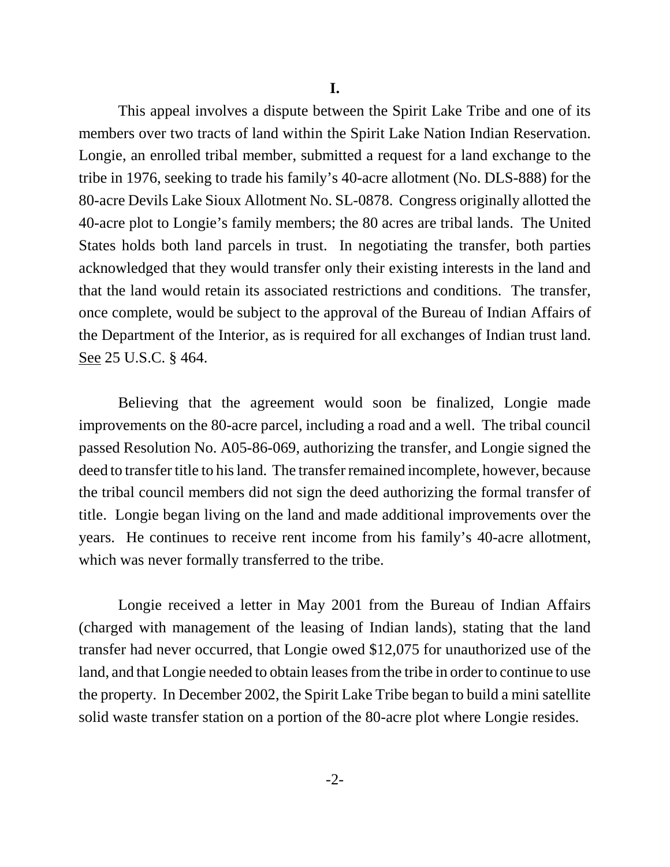This appeal involves a dispute between the Spirit Lake Tribe and one of its members over two tracts of land within the Spirit Lake Nation Indian Reservation. Longie, an enrolled tribal member, submitted a request for a land exchange to the tribe in 1976, seeking to trade his family's 40-acre allotment (No. DLS-888) for the 80-acre Devils Lake Sioux Allotment No. SL-0878. Congress originally allotted the 40-acre plot to Longie's family members; the 80 acres are tribal lands. The United States holds both land parcels in trust. In negotiating the transfer, both parties acknowledged that they would transfer only their existing interests in the land and that the land would retain its associated restrictions and conditions. The transfer, once complete, would be subject to the approval of the Bureau of Indian Affairs of the Department of the Interior, as is required for all exchanges of Indian trust land. See 25 U.S.C. § 464.

Believing that the agreement would soon be finalized, Longie made improvements on the 80-acre parcel, including a road and a well. The tribal council passed Resolution No. A05-86-069, authorizing the transfer, and Longie signed the deed to transfer title to his land. The transfer remained incomplete, however, because the tribal council members did not sign the deed authorizing the formal transfer of title. Longie began living on the land and made additional improvements over the years. He continues to receive rent income from his family's 40-acre allotment, which was never formally transferred to the tribe.

Longie received a letter in May 2001 from the Bureau of Indian Affairs (charged with management of the leasing of Indian lands), stating that the land transfer had never occurred, that Longie owed \$12,075 for unauthorized use of the land, and that Longie needed to obtain leases from the tribe in order to continue to use the property. In December 2002, the Spirit Lake Tribe began to build a mini satellite solid waste transfer station on a portion of the 80-acre plot where Longie resides.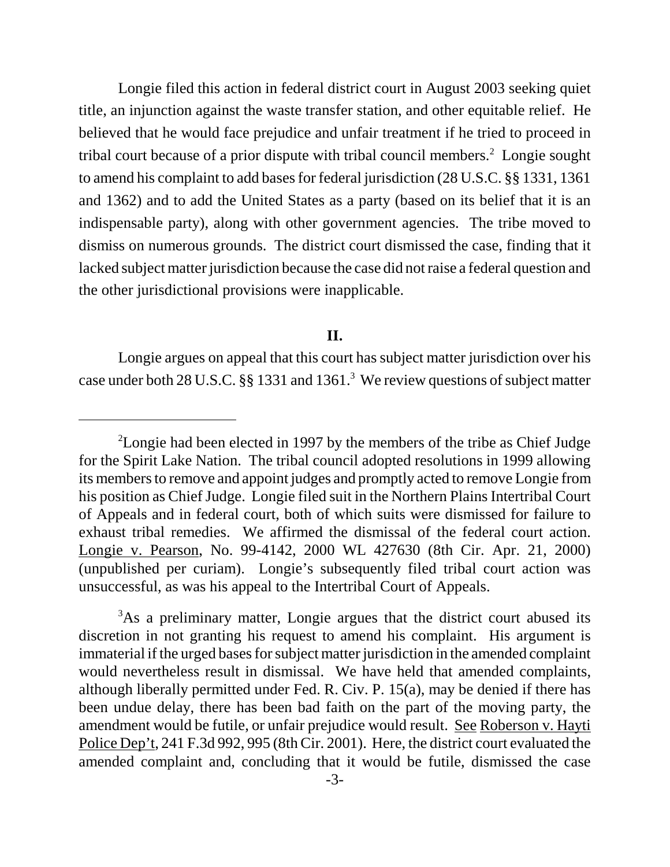Longie filed this action in federal district court in August 2003 seeking quiet title, an injunction against the waste transfer station, and other equitable relief. He believed that he would face prejudice and unfair treatment if he tried to proceed in tribal court because of a prior dispute with tribal council members.<sup>2</sup> Longie sought to amend his complaint to add bases for federal jurisdiction (28 U.S.C. §§ 1331, 1361 and 1362) and to add the United States as a party (based on its belief that it is an indispensable party), along with other government agencies. The tribe moved to dismiss on numerous grounds. The district court dismissed the case, finding that it lacked subject matter jurisdiction because the case did not raise a federal question and the other jurisdictional provisions were inapplicable.

## **II.**

Longie argues on appeal that this court has subject matter jurisdiction over his case under both 28 U.S.C. §§ 1331 and 1361.<sup>3</sup> We review questions of subject matter

<sup>&</sup>lt;sup>2</sup>Longie had been elected in 1997 by the members of the tribe as Chief Judge for the Spirit Lake Nation. The tribal council adopted resolutions in 1999 allowing its members to remove and appoint judges and promptly acted to remove Longie from his position as Chief Judge. Longie filed suit in the Northern Plains Intertribal Court of Appeals and in federal court, both of which suits were dismissed for failure to exhaust tribal remedies. We affirmed the dismissal of the federal court action. Longie v. Pearson, No. 99-4142, 2000 WL 427630 (8th Cir. Apr. 21, 2000) (unpublished per curiam). Longie's subsequently filed tribal court action was unsuccessful, as was his appeal to the Intertribal Court of Appeals.

<sup>&</sup>lt;sup>3</sup>As a preliminary matter, Longie argues that the district court abused its discretion in not granting his request to amend his complaint. His argument is immaterial if the urged bases for subject matter jurisdiction in the amended complaint would nevertheless result in dismissal. We have held that amended complaints, although liberally permitted under Fed. R. Civ. P. 15(a), may be denied if there has been undue delay, there has been bad faith on the part of the moving party, the amendment would be futile, or unfair prejudice would result. See Roberson v. Hayti Police Dep't, 241 F.3d 992, 995 (8th Cir. 2001). Here, the district court evaluated the amended complaint and, concluding that it would be futile, dismissed the case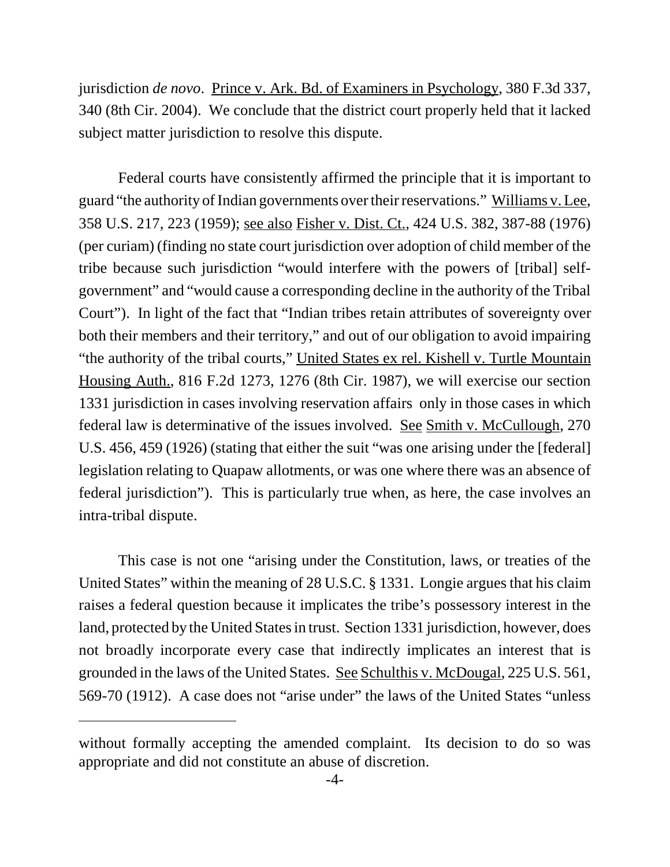jurisdiction *de novo*. Prince v. Ark. Bd. of Examiners in Psychology, 380 F.3d 337, 340 (8th Cir. 2004). We conclude that the district court properly held that it lacked subject matter jurisdiction to resolve this dispute.

Federal courts have consistently affirmed the principle that it is important to guard "the authority of Indian governments over their reservations." Williams v. Lee, 358 U.S. 217, 223 (1959); see also Fisher v. Dist. Ct., 424 U.S. 382, 387-88 (1976) (per curiam) (finding no state court jurisdiction over adoption of child member of the tribe because such jurisdiction "would interfere with the powers of [tribal] selfgovernment" and "would cause a corresponding decline in the authority of the Tribal Court"). In light of the fact that "Indian tribes retain attributes of sovereignty over both their members and their territory," and out of our obligation to avoid impairing "the authority of the tribal courts," United States ex rel. Kishell v. Turtle Mountain Housing Auth., 816 F.2d 1273, 1276 (8th Cir. 1987), we will exercise our section 1331 jurisdiction in cases involving reservation affairs only in those cases in which federal law is determinative of the issues involved. See Smith v. McCullough, 270 U.S. 456, 459 (1926) (stating that either the suit "was one arising under the [federal] legislation relating to Quapaw allotments, or was one where there was an absence of federal jurisdiction"). This is particularly true when, as here, the case involves an intra-tribal dispute.

This case is not one "arising under the Constitution, laws, or treaties of the United States" within the meaning of 28 U.S.C. § 1331. Longie argues that his claim raises a federal question because it implicates the tribe's possessory interest in the land, protected by the United States in trust. Section 1331 jurisdiction, however, does not broadly incorporate every case that indirectly implicates an interest that is grounded in the laws of the United States. See Schulthis v. McDougal, 225 U.S. 561, 569-70 (1912). A case does not "arise under" the laws of the United States "unless

without formally accepting the amended complaint. Its decision to do so was appropriate and did not constitute an abuse of discretion.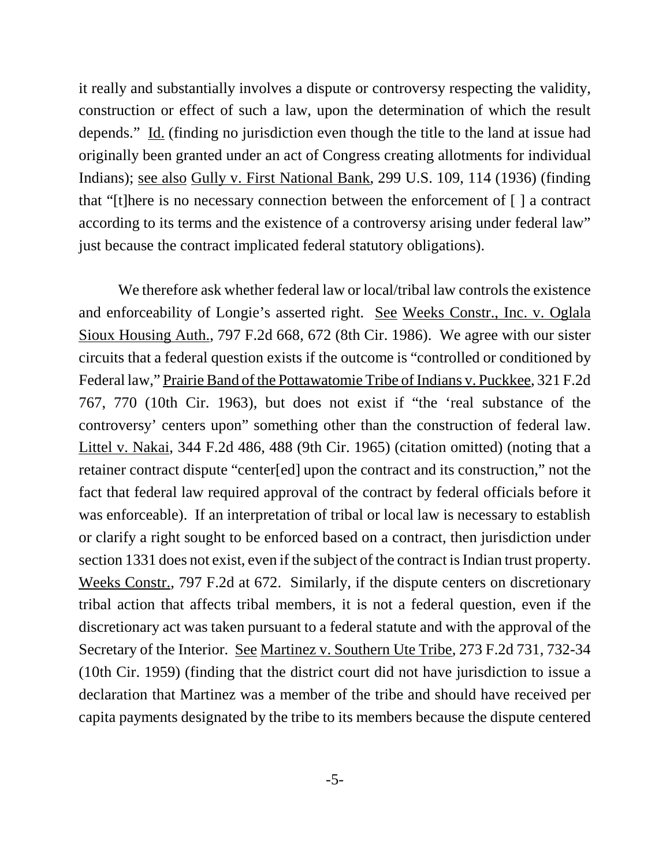it really and substantially involves a dispute or controversy respecting the validity, construction or effect of such a law, upon the determination of which the result depends." Id. (finding no jurisdiction even though the title to the land at issue had originally been granted under an act of Congress creating allotments for individual Indians); see also Gully v. First National Bank, 299 U.S. 109, 114 (1936) (finding that "[t]here is no necessary connection between the enforcement of [ ] a contract according to its terms and the existence of a controversy arising under federal law" just because the contract implicated federal statutory obligations).

We therefore ask whether federal law or local/tribal law controls the existence and enforceability of Longie's asserted right. See Weeks Constr., Inc. v. Oglala Sioux Housing Auth., 797 F.2d 668, 672 (8th Cir. 1986). We agree with our sister circuits that a federal question exists if the outcome is "controlled or conditioned by Federal law," Prairie Band of the Pottawatomie Tribe of Indians v. Puckkee, 321 F.2d 767, 770 (10th Cir. 1963), but does not exist if "the 'real substance of the controversy' centers upon" something other than the construction of federal law. Littel v. Nakai, 344 F.2d 486, 488 (9th Cir. 1965) (citation omitted) (noting that a retainer contract dispute "center[ed] upon the contract and its construction," not the fact that federal law required approval of the contract by federal officials before it was enforceable). If an interpretation of tribal or local law is necessary to establish or clarify a right sought to be enforced based on a contract, then jurisdiction under section 1331 does not exist, even if the subject of the contract is Indian trust property. Weeks Constr., 797 F.2d at 672. Similarly, if the dispute centers on discretionary tribal action that affects tribal members, it is not a federal question, even if the discretionary act was taken pursuant to a federal statute and with the approval of the Secretary of the Interior. See Martinez v. Southern Ute Tribe, 273 F.2d 731, 732-34 (10th Cir. 1959) (finding that the district court did not have jurisdiction to issue a declaration that Martinez was a member of the tribe and should have received per capita payments designated by the tribe to its members because the dispute centered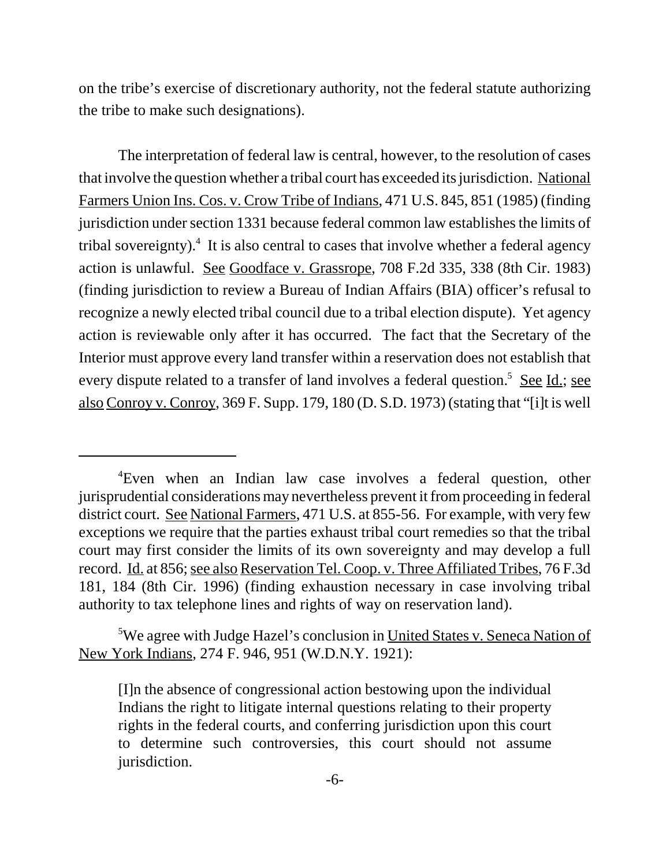on the tribe's exercise of discretionary authority, not the federal statute authorizing the tribe to make such designations).

The interpretation of federal law is central, however, to the resolution of cases that involve the question whether a tribal court has exceeded its jurisdiction. National Farmers Union Ins. Cos. v. Crow Tribe of Indians, 471 U.S. 845, 851 (1985) (finding jurisdiction under section 1331 because federal common law establishes the limits of tribal sovereignty).<sup>4</sup> It is also central to cases that involve whether a federal agency action is unlawful. See Goodface v. Grassrope, 708 F.2d 335, 338 (8th Cir. 1983) (finding jurisdiction to review a Bureau of Indian Affairs (BIA) officer's refusal to recognize a newly elected tribal council due to a tribal election dispute). Yet agency action is reviewable only after it has occurred. The fact that the Secretary of the Interior must approve every land transfer within a reservation does not establish that every dispute related to a transfer of land involves a federal question.<sup>5</sup> See Id.; see also Conroy v. Conroy, 369 F. Supp. 179, 180 (D. S.D. 1973) (stating that "[i]t is well

<sup>4</sup> Even when an Indian law case involves a federal question, other jurisprudential considerations may nevertheless prevent it from proceeding in federal district court. See National Farmers, 471 U.S. at 855-56. For example, with very few exceptions we require that the parties exhaust tribal court remedies so that the tribal court may first consider the limits of its own sovereignty and may develop a full record. Id. at 856; see also Reservation Tel. Coop. v. Three Affiliated Tribes, 76 F.3d 181, 184 (8th Cir. 1996) (finding exhaustion necessary in case involving tribal authority to tax telephone lines and rights of way on reservation land).

<sup>&</sup>lt;sup>5</sup>We agree with Judge Hazel's conclusion in United States v. Seneca Nation of New York Indians, 274 F. 946, 951 (W.D.N.Y. 1921):

<sup>[</sup>I]n the absence of congressional action bestowing upon the individual Indians the right to litigate internal questions relating to their property rights in the federal courts, and conferring jurisdiction upon this court to determine such controversies, this court should not assume jurisdiction.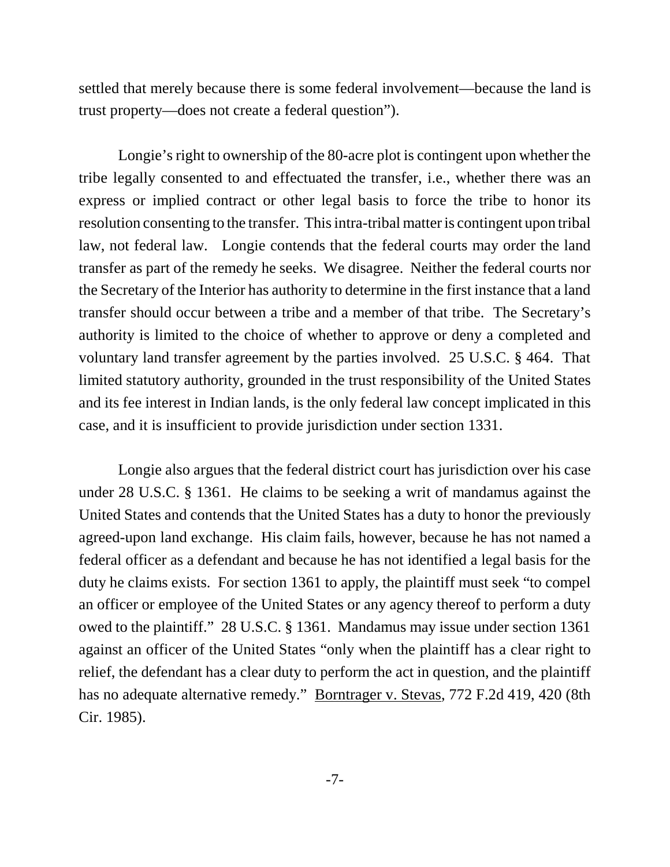settled that merely because there is some federal involvement—because the land is trust property—does not create a federal question").

Longie's right to ownership of the 80-acre plot is contingent upon whether the tribe legally consented to and effectuated the transfer, i.e., whether there was an express or implied contract or other legal basis to force the tribe to honor its resolution consenting to the transfer. This intra-tribal matter is contingent upon tribal law, not federal law. Longie contends that the federal courts may order the land transfer as part of the remedy he seeks. We disagree. Neither the federal courts nor the Secretary of the Interior has authority to determine in the first instance that a land transfer should occur between a tribe and a member of that tribe. The Secretary's authority is limited to the choice of whether to approve or deny a completed and voluntary land transfer agreement by the parties involved. 25 U.S.C. § 464. That limited statutory authority, grounded in the trust responsibility of the United States and its fee interest in Indian lands, is the only federal law concept implicated in this case, and it is insufficient to provide jurisdiction under section 1331.

Longie also argues that the federal district court has jurisdiction over his case under 28 U.S.C. § 1361. He claims to be seeking a writ of mandamus against the United States and contends that the United States has a duty to honor the previously agreed-upon land exchange. His claim fails, however, because he has not named a federal officer as a defendant and because he has not identified a legal basis for the duty he claims exists. For section 1361 to apply, the plaintiff must seek "to compel an officer or employee of the United States or any agency thereof to perform a duty owed to the plaintiff." 28 U.S.C. § 1361. Mandamus may issue under section 1361 against an officer of the United States "only when the plaintiff has a clear right to relief, the defendant has a clear duty to perform the act in question, and the plaintiff has no adequate alternative remedy." Borntrager v. Stevas, 772 F.2d 419, 420 (8th Cir. 1985).